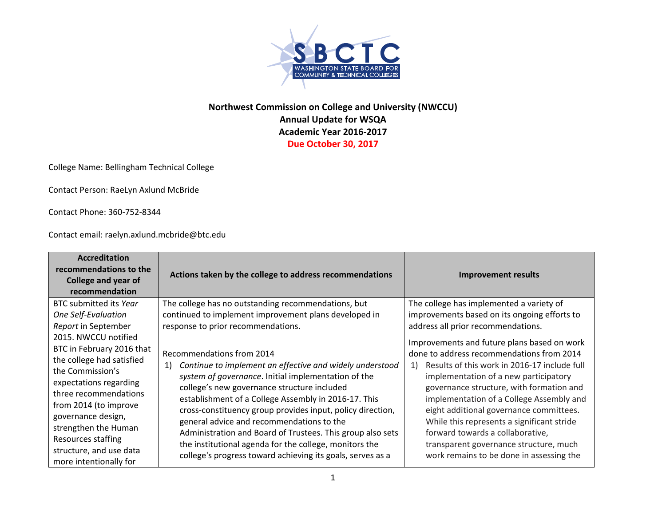

## **Northwest Commission on College and University (NWCCU) Annual Update for WSQA Academic Year 2016‐2017 Due October 30, 2017**

College Name: Bellingham Technical College

Contact Person: RaeLyn Axlund McBride

Contact Phone: 360‐752‐8344

Contact email: raelyn.axlund.mcbride@btc.edu

| <b>Accreditation</b><br>recommendations to the<br><b>College and year of</b><br>recommendation                                                                                                                                                                                  | Actions taken by the college to address recommendations                                                                                                                                                                                                                                                                                                                                                                                                                                                                                                              | <b>Improvement results</b>                                                                                                                                                                                                                                                                                                                                                                                                                          |
|---------------------------------------------------------------------------------------------------------------------------------------------------------------------------------------------------------------------------------------------------------------------------------|----------------------------------------------------------------------------------------------------------------------------------------------------------------------------------------------------------------------------------------------------------------------------------------------------------------------------------------------------------------------------------------------------------------------------------------------------------------------------------------------------------------------------------------------------------------------|-----------------------------------------------------------------------------------------------------------------------------------------------------------------------------------------------------------------------------------------------------------------------------------------------------------------------------------------------------------------------------------------------------------------------------------------------------|
| BTC submitted its Year                                                                                                                                                                                                                                                          | The college has no outstanding recommendations, but                                                                                                                                                                                                                                                                                                                                                                                                                                                                                                                  | The college has implemented a variety of                                                                                                                                                                                                                                                                                                                                                                                                            |
| One Self-Evaluation<br>Report in September<br>2015. NWCCU notified                                                                                                                                                                                                              | continued to implement improvement plans developed in<br>response to prior recommendations.                                                                                                                                                                                                                                                                                                                                                                                                                                                                          | improvements based on its ongoing efforts to<br>address all prior recommendations.<br>Improvements and future plans based on work                                                                                                                                                                                                                                                                                                                   |
| BTC in February 2016 that<br>the college had satisfied<br>the Commission's<br>expectations regarding<br>three recommendations<br>from 2014 (to improve<br>governance design,<br>strengthen the Human<br>Resources staffing<br>structure, and use data<br>more intentionally for | Recommendations from 2014<br>Continue to implement an effective and widely understood<br><sup>1</sup><br>system of governance. Initial implementation of the<br>college's new governance structure included<br>establishment of a College Assembly in 2016-17. This<br>cross-constituency group provides input, policy direction,<br>general advice and recommendations to the<br>Administration and Board of Trustees. This group also sets<br>the institutional agenda for the college, monitors the<br>college's progress toward achieving its goals, serves as a | done to address recommendations from 2014<br>Results of this work in 2016-17 include full<br>1)<br>implementation of a new participatory<br>governance structure, with formation and<br>implementation of a College Assembly and<br>eight additional governance committees.<br>While this represents a significant stride<br>forward towards a collaborative,<br>transparent governance structure, much<br>work remains to be done in assessing the |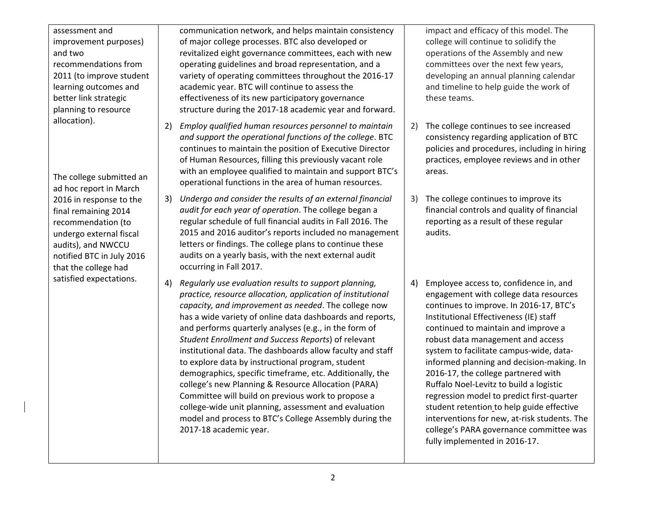| assessment and<br>improvement purposes)<br>and two<br>recommendations from<br>2011 (to improve student<br>learning outcomes and<br>better link strategic<br>planning to resource | communication network, and helps maintain consistency<br>of major college processes. BTC also developed or<br>revitalized eight governance committees, each with new<br>operating guidelines and broad representation, and a<br>variety of operating committees throughout the 2016-17<br>academic year. BTC will continue to assess the<br>effectiveness of its new participatory governance<br>structure during the 2017-18 academic year and forward.                                                                                                                                                                                                                                                                                                                                                 | impact and efficacy of this model. The<br>college will continue to solidify the<br>operations of the Assembly and new<br>committees over the next few years,<br>developing an annual planning calendar<br>and timeline to help guide the work of<br>these teams.                                                                                                                                                                                                                                                                                                                                                                                        |
|----------------------------------------------------------------------------------------------------------------------------------------------------------------------------------|----------------------------------------------------------------------------------------------------------------------------------------------------------------------------------------------------------------------------------------------------------------------------------------------------------------------------------------------------------------------------------------------------------------------------------------------------------------------------------------------------------------------------------------------------------------------------------------------------------------------------------------------------------------------------------------------------------------------------------------------------------------------------------------------------------|---------------------------------------------------------------------------------------------------------------------------------------------------------------------------------------------------------------------------------------------------------------------------------------------------------------------------------------------------------------------------------------------------------------------------------------------------------------------------------------------------------------------------------------------------------------------------------------------------------------------------------------------------------|
| allocation).<br>The college submitted an<br>ad hoc report in March                                                                                                               | Employ qualified human resources personnel to maintain<br>2)<br>and support the operational functions of the college. BTC<br>continues to maintain the position of Executive Director<br>of Human Resources, filling this previously vacant role<br>with an employee qualified to maintain and support BTC's<br>operational functions in the area of human resources.                                                                                                                                                                                                                                                                                                                                                                                                                                    | The college continues to see increased<br>2)<br>consistency regarding application of BTC<br>policies and procedures, including in hiring<br>practices, employee reviews and in other<br>areas.                                                                                                                                                                                                                                                                                                                                                                                                                                                          |
| 2016 in response to the<br>final remaining 2014<br>recommendation (to<br>undergo external fiscal<br>audits), and NWCCU<br>notified BTC in July 2016<br>that the college had      | Undergo and consider the results of an external financial<br>3)<br>audit for each year of operation. The college began a<br>regular schedule of full financial audits in Fall 2016. The<br>2015 and 2016 auditor's reports included no management<br>letters or findings. The college plans to continue these<br>audits on a yearly basis, with the next external audit<br>occurring in Fall 2017.                                                                                                                                                                                                                                                                                                                                                                                                       | The college continues to improve its<br>3)<br>financial controls and quality of financial<br>reporting as a result of these regular<br>audits.                                                                                                                                                                                                                                                                                                                                                                                                                                                                                                          |
| satisfied expectations.                                                                                                                                                          | Regularly use evaluation results to support planning,<br>4)<br>practice, resource allocation, application of institutional<br>capacity, and improvement as needed. The college now<br>has a wide variety of online data dashboards and reports,<br>and performs quarterly analyses (e.g., in the form of<br>Student Enrollment and Success Reports) of relevant<br>institutional data. The dashboards allow faculty and staff<br>to explore data by instructional program, student<br>demographics, specific timeframe, etc. Additionally, the<br>college's new Planning & Resource Allocation (PARA)<br>Committee will build on previous work to propose a<br>college-wide unit planning, assessment and evaluation<br>model and process to BTC's College Assembly during the<br>2017-18 academic year. | Employee access to, confidence in, and<br>4)<br>engagement with college data resources<br>continues to improve. In 2016-17, BTC's<br>Institutional Effectiveness (IE) staff<br>continued to maintain and improve a<br>robust data management and access<br>system to facilitate campus-wide, data-<br>informed planning and decision-making. In<br>2016-17, the college partnered with<br>Ruffalo Noel-Levitz to build a logistic<br>regression model to predict first-quarter<br>student retention to help guide effective<br>interventions for new, at-risk students. The<br>college's PARA governance committee was<br>fully implemented in 2016-17. |